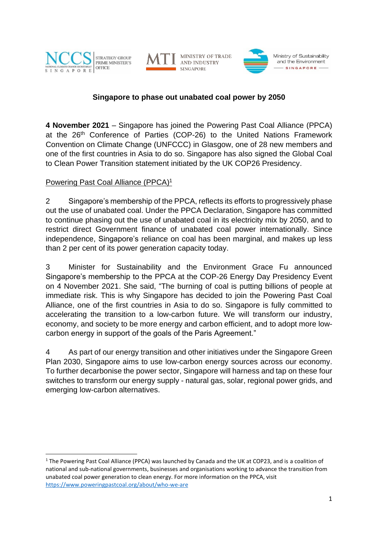





# **Singapore to phase out unabated coal power by 2050**

**4 November 2021** – Singapore has joined the Powering Past Coal Alliance (PPCA) at the 26<sup>th</sup> Conference of Parties (COP-26) to the United Nations Framework Convention on Climate Change (UNFCCC) in Glasgow, one of 28 new members and one of the first countries in Asia to do so. Singapore has also signed the Global Coal to Clean Power Transition statement initiated by the UK COP26 Presidency.

# Powering Past Coal Alliance (PPCA)<sup>1</sup>

2 Singapore's membership of the PPCA, reflects its efforts to progressively phase out the use of unabated coal. Under the PPCA Declaration, Singapore has committed to continue phasing out the use of unabated coal in its electricity mix by 2050, and to restrict direct Government finance of unabated coal power internationally. Since independence, Singapore's reliance on coal has been marginal, and makes up less than 2 per cent of its power generation capacity today.

3 Minister for Sustainability and the Environment Grace Fu announced Singapore's membership to the PPCA at the COP-26 Energy Day Presidency Event on 4 November 2021. She said, "The burning of coal is putting billions of people at immediate risk. This is why Singapore has decided to join the Powering Past Coal Alliance, one of the first countries in Asia to do so. Singapore is fully committed to accelerating the transition to a low-carbon future. We will transform our industry, economy, and society to be more energy and carbon efficient, and to adopt more lowcarbon energy in support of the goals of the Paris Agreement."

4 As part of our energy transition and other initiatives under the Singapore Green Plan 2030, Singapore aims to use low-carbon energy sources across our economy. To further decarbonise the power sector, Singapore will harness and tap on these four switches to transform our energy supply - natural gas, solar, regional power grids, and emerging low-carbon alternatives.

<sup>&</sup>lt;sup>1</sup> The Powering Past Coal Alliance (PPCA) was launched by Canada and the UK at COP23, and is a coalition of national and sub-national governments, businesses and organisations working to advance the transition from unabated coal power generation to clean energy. For more information on the PPCA, visit <https://www.poweringpastcoal.org/about/who-we-are>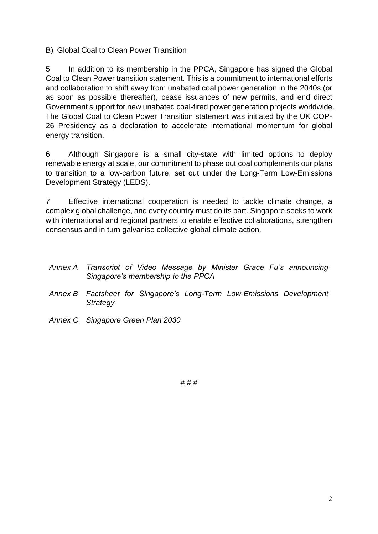# B) Global Coal to Clean Power Transition

5 In addition to its membership in the PPCA, Singapore has signed the Global Coal to Clean Power transition statement. This is a commitment to international efforts and collaboration to shift away from unabated coal power generation in the 2040s (or as soon as possible thereafter), cease issuances of new permits, and end direct Government support for new unabated coal-fired power generation projects worldwide. The Global Coal to Clean Power Transition statement was initiated by the UK COP-26 Presidency as a declaration to accelerate international momentum for global energy transition.

6 Although Singapore is a small city-state with limited options to deploy renewable energy at scale, our commitment to phase out coal complements our plans to transition to a low-carbon future, set out under the Long-Term Low-Emissions Development Strategy (LEDS).

7 Effective international cooperation is needed to tackle climate change, a complex global challenge, and every country must do its part. Singapore seeks to work with international and regional partners to enable effective collaborations, strengthen consensus and in turn galvanise collective global climate action.

|                                    |  |  |  |  |  |  |  | Annex A Transcript of Video Message by Minister Grace Fu's announcing |
|------------------------------------|--|--|--|--|--|--|--|-----------------------------------------------------------------------|
| Singapore's membership to the PPCA |  |  |  |  |  |  |  |                                                                       |

- *Annex B Factsheet for Singapore's Long-Term Low-Emissions Development Strategy*
- *Annex C Singapore Green Plan 2030*

# # #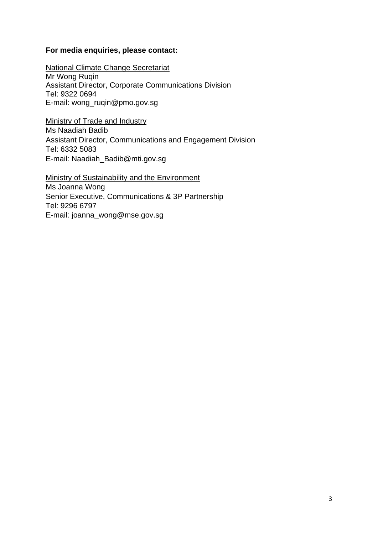## **For media enquiries, please contact:**

National Climate Change Secretariat Mr Wong Ruqin Assistant Director, Corporate Communications Division Tel: 9322 0694 E-mail: wong\_ruqin@pmo.gov.sg

Ministry of Trade and Industry Ms Naadiah Badib Assistant Director, Communications and Engagement Division Tel: 6332 5083 E-mail: Naadiah\_Badib@mti.gov.sg

Ministry of Sustainability and the Environment Ms Joanna Wong Senior Executive, Communications & 3P Partnership Tel: 9296 6797 E-mail: joanna\_wong@mse.gov.sg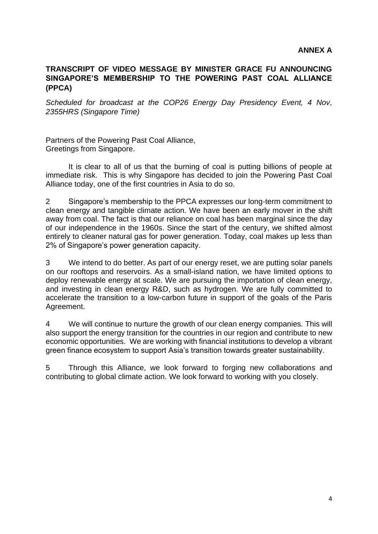## **TRANSCRIPT OF VIDEO MESSAGE BY MINISTER GRACE FU ANNOUNCING SINGAPORE'S MEMBERSHIP TO THE POWERING PAST COAL ALLIANCE (PPCA)**

*Scheduled for broadcast at the COP26 Energy Day Presidency Event, 4 Nov, 2355HRS (Singapore Time)*

Partners of the Powering Past Coal Alliance, Greetings from Singapore.

It is clear to all of us that the burning of coal is putting billions of people at immediate risk. This is why Singapore has decided to join the Powering Past Coal Alliance today, one of the first countries in Asia to do so.

2 Singapore's membership to the PPCA expresses our long-term commitment to clean energy and tangible climate action. We have been an early mover in the shift away from coal. The fact is that our reliance on coal has been marginal since the day of our independence in the 1960s. Since the start of the century, we shifted almost entirely to cleaner natural gas for power generation. Today, coal makes up less than 2% of Singapore's power generation capacity.

3 We intend to do better. As part of our energy reset, we are putting solar panels on our rooftops and reservoirs. As a small-island nation, we have limited options to deploy renewable energy at scale. We are pursuing the importation of clean energy, and investing in clean energy R&D, such as hydrogen. We are fully committed to accelerate the transition to a low-carbon future in support of the goals of the Paris Agreement.

4 We will continue to nurture the growth of our clean energy companies. This will also support the energy transition for the countries in our region and contribute to new economic opportunities. We are working with financial institutions to develop a vibrant green finance ecosystem to support Asia's transition towards greater sustainability.

5 Through this Alliance, we look forward to forging new collaborations and contributing to global climate action. We look forward to working with you closely.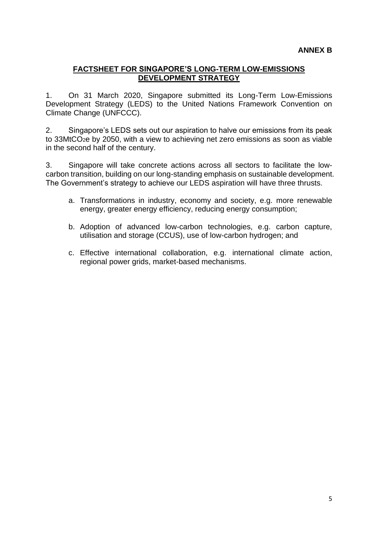## **FACTSHEET FOR SINGAPORE'S LONG-TERM LOW-EMISSIONS DEVELOPMENT STRATEGY**

1. On 31 March 2020, Singapore submitted its Long-Term Low-Emissions Development Strategy (LEDS) to the United Nations Framework Convention on Climate Change (UNFCCC).

2. Singapore's LEDS sets out our aspiration to halve our emissions from its peak to 33MtCO2e by 2050, with a view to achieving net zero emissions as soon as viable in the second half of the century.

3. Singapore will take concrete actions across all sectors to facilitate the lowcarbon transition, building on our long-standing emphasis on sustainable development. The Government's strategy to achieve our LEDS aspiration will have three thrusts.

- a. Transformations in industry, economy and society, e.g. more renewable energy, greater energy efficiency, reducing energy consumption;
- b. Adoption of advanced low-carbon technologies, e.g. carbon capture, utilisation and storage (CCUS), use of low-carbon hydrogen; and
- c. Effective international collaboration, e.g. international climate action, regional power grids, market-based mechanisms.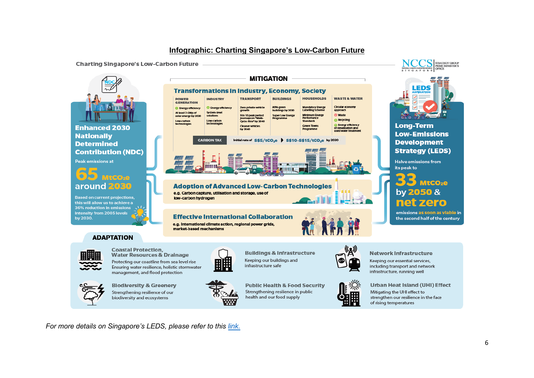## **Infographic: Charting Singapore's Low-Carbon Future**

**MITIGATION** 

**BUILDINGS** 

80% green<br>buildings by 2030

**Super Low Energy** 

Initial rate of S\$5/tCO<sub>2</sub>e > S\$10-S\$15/tCO<sub>2</sub>e by 2030

**HOUSEHOLDS** 

ndatory Energy

**Labelling Sche** 

Performance

**Green Town** 

Programme

Minimum Energy

**WASTE & WATER** 

Circular econom

approach

**O** Waste

**C** Recycling

**C** Energy efficiency<br>of desalination and

ed water tre

**Transformations in Industry, Economy, Society** 

**TRANSPORT** 

Zero private vehicle

9 in 10 peak period<br>journeys on "Walk-<br>Cycle-Ride" by 2040

**Adoption of Advanced Low-Carbon Technologies** 

**Cleaner vehicles** 

by 2040

### **Charting Singapore's Low-Carbon Future**

POWER<br>GENERATION

At least 2 GWn of

Low-carbon

**C** Energy efficiency

solar energy by 2030

low-carbon hydrogen

market-based mechanisms

**INDUSTRY** 

System-lew

Low-carbon

colution

**CARBON TAX** 

**C** Energy efficiency

logie

e.g. Carbon capture, utilisation and storage, use of

e.g. International climate action, regional power grids,

躙

**Effective International Collaboration** 



**Enhanced 2030 Nationally Determined Contribution (NDC)** 

**Peak emissions at** 



**Based on current projections,** this will allow us to achieve a 36% reduction in emissions < **Intensity from 2005 levels** by 2030.

## **ADAPTATION**



**Coastal Protection, Water Resources & Drainage** Protecting our coastline from sea level rise Ensuring water resilience, holistic stormwater



**Biodiversity & Greenery** Strengthening resilience of our biodiversity and ecosystems

management, and flood protection



**Public Health & Food Security** Strengthening resilience in public health and our food supply

**Buildings & Infrastructure** 

Keeping our buildings and

infrastructure safe



Ra AFR RE



### Network Infrastructure

Keeping our essential services. including transport and network infrastructure, running well







**Long-Term Low-Emissions Development Strategy (LEDS)** 

**Halve emissions from** its peak to

# MtCO<sub>2</sub>e by 2050 & net zero

emissions as soon as vlable in the second half of the century

For more details on Singapore's LEDS, please refer to this link.